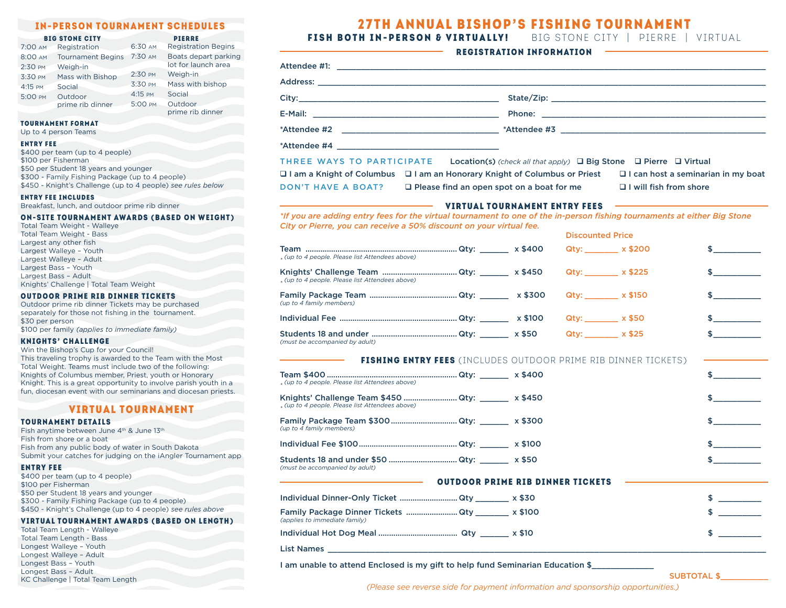| 7:00 AM | Registration                | 6:30 AM | <b>Registration Begins</b>                  |
|---------|-----------------------------|---------|---------------------------------------------|
| 8:00 AM | <b>Tournament Begins</b>    | 7:30 AM | Boats depart parking<br>lot for launch area |
| 2:30 PM | Weigh-in                    |         |                                             |
| 3:30 PM | Mass with Bishop            | 2:30 PM | Weigh-in                                    |
| 4:15 PM | Social                      | 3:30 PM | Mass with bishop                            |
| 5:00 PM | Outdoor<br>prime rib dinner | 4:15 PM | Social                                      |
|         |                             | 5:00 PM | Outdoor                                     |
|         |                             |         | prime rib dinner                            |

### Tournament Format

Up to 4 person Teams

### Entry Fee

\$400 per team (up to 4 people) \$100 per Fisherman \$50 per Student 18 years and younger \$300 - Family Fishing Package (up to 4 people) \$450 - Knight's Challenge (up to 4 people) *see rules below*

### Entry Fee Includes

Breakfast, lunch, and outdoor prime rib dinner

## o n**-**site tournament Awards **(**based on weight**)**

| Total Team Weight - Walleye            |  |
|----------------------------------------|--|
| Total Team Weight - Bass               |  |
| Largest any other fish                 |  |
| Largest Walleye - Youth                |  |
| Largest Walleye - Adult                |  |
| Largest Bass - Youth                   |  |
| Largest Bass - Adult                   |  |
| Knights' Challenge   Total Team Weight |  |

### Outdoor prime rib dinner Tickets

Outdoor prime rib dinner Tickets may be purchased separately for those not fishing in the tournament. \$30 per person \$100 per family *(applies to immediate family)*

## Knights**'** Challenge

Win the Bishop's Cup for your Council! This traveling trophy is awarded to the Team with the Most Total Weight. Teams must include two of the following: Knights of Columbus member, Priest, youth or Honorary Knight. This is a great opportunity to involve parish youth in a

# VIRTUAL TOURNAMENT

fun, diocesan event with our seminarians and diocesan priests.

## Tournament details

Fish anytime between June 4<sup>th</sup> & June 13<sup>th</sup> Fish from shore or a boat Fish from any public body of water in South Dakota Submit your catches for judging on the iAngler Tournament app

# Entry Fee

\$400 per team (up to 4 people) \$100 per Fisherman \$50 per Student 18 years and younger \$300 - Family Fishing Package (up to 4 people) \$450 - Knight's Challenge (up to 4 people) *see rules above*

# Virtual tournament Awards **(**based on Length**)**

Total Team Length - Walleye Total Team Length - Bass Longest Walleye – Youth Longest Walleye – Adult Longest Bass – Youth Longest Bass – Adult KC Challenge | Total Team Length

| IN-PERSON TOURNAMENT SCHEDULES                                                                                                                                                                                                                                                                                              | <b>27TH ANNUAL BISHOP'S FISHING TOURNAMENT</b>                                                                                                                                                                                                                                                                                                                     |  |  |  |  |
|-----------------------------------------------------------------------------------------------------------------------------------------------------------------------------------------------------------------------------------------------------------------------------------------------------------------------------|--------------------------------------------------------------------------------------------------------------------------------------------------------------------------------------------------------------------------------------------------------------------------------------------------------------------------------------------------------------------|--|--|--|--|
| <b>PIERRE</b><br><b>BIG STONE CITY</b>                                                                                                                                                                                                                                                                                      | FISH BOTH IN-PERSON & VIRTUALLY! BIG STONE CITY   PIERRE   VIRTUAL                                                                                                                                                                                                                                                                                                 |  |  |  |  |
| 6:30 AM<br><b>Registration Begins</b><br>AM Registration<br>AM Tournament Begins 7:30 AM<br>Boats depart parking<br>lot for launch area<br>Weigh-in<br><b>PM</b><br>2:30 PM<br>Weigh-in<br>Mass with Bishop<br><b>PM</b><br>Mass with bishop<br>3:30 PM<br>Social<br><b>PM</b><br>4:15 PM<br>Social<br>Outdoor<br><b>PM</b> | <b>REGISTRATION INFORMATION</b><br>Attendee #1: Attendee #1: Attendee #1: Attendee #1: Attendee #1: Attendee #1: Attendee #1: Attendee #1: Attendee #1: Attendee #1: Attendee #1: Attendee #1: Attendee #1: Attendee #1: Attendee #1: Attendee #1: Attendee #1: A                                                                                                  |  |  |  |  |
| 5:00 PM<br>Outdoor<br>prime rib dinner<br>prime rib dinner                                                                                                                                                                                                                                                                  |                                                                                                                                                                                                                                                                                                                                                                    |  |  |  |  |
| <b>INAMENT FORMAT</b><br>o 4 person Teams                                                                                                                                                                                                                                                                                   |                                                                                                                                                                                                                                                                                                                                                                    |  |  |  |  |
| <b>Y FEE</b><br>O per team (up to 4 people)<br>per Fisherman<br>per Student 18 years and younger<br>1 - Family Fishing Package (up to 4 people)<br>) - Knight's Challenge (up to 4 people) see rules below                                                                                                                  | THREE WAYS TO PARTICIPATE Location(s) (check all that apply) $\Box$ Big Stone $\Box$ Pierre $\Box$ Virtual<br>$\Box$ I am a Knight of Columbus $\Box$ I am an Honorary Knight of Columbus or Priest<br>$\Box$ I can host a seminarian in my boat<br><b>DON'T HAVE A BOAT?</b><br>$\Box$ Please find an open spot on a boat for me<br>$\Box$ I will fish from shore |  |  |  |  |
| Y FEE INCLUDES<br>kfast, lunch, and outdoor prime rib dinner                                                                                                                                                                                                                                                                | <b>VIRTUAL TOURNAMENT ENTRY FEES</b>                                                                                                                                                                                                                                                                                                                               |  |  |  |  |
| SITE TOURNAMENT AWARDS (BASED ON WEIGHT)<br>Team Weight - Walleye<br>Team Weight - Bass                                                                                                                                                                                                                                     | *If you are adding entry fees for the virtual tournament to one of the in-person fishing tournaments at either Big Stone<br>City or Pierre, you can receive a 50% discount on your virtual fee.<br><b>Discounted Price</b>                                                                                                                                         |  |  |  |  |
| est any other fish<br>est Walleye - Youth<br>est Walleye - Adult                                                                                                                                                                                                                                                            | Qty: ________ x \$200<br>« (up to 4 people. Please list Attendees above)                                                                                                                                                                                                                                                                                           |  |  |  |  |
| est Bass - Youth                                                                                                                                                                                                                                                                                                            | Knights' Challenge Team<br>$\Omega$ ty: $\chi$ \$450 $\Omega$ ty: $\chi$ \$225                                                                                                                                                                                                                                                                                     |  |  |  |  |

| « (up to 4 people. Please list Attendees above)                                                |                                 |                |  |
|------------------------------------------------------------------------------------------------|---------------------------------|----------------|--|
| (up to 4 family members)                                                                       |                                 | Qty: x \$150   |  |
|                                                                                                |                                 |                |  |
| (must be accompanied by adult)                                                                 |                                 | $Qty:$ x \$25  |  |
| FISHING ENTRY FEES (INCLUDES OUTDOOR PRIME RIB DINNER TICKETS)                                 |                                 |                |  |
| « (up to 4 people. Please list Attendees above)                                                |                                 |                |  |
| Knights' Challenge Team \$450  Qty: x \$450<br>« (up to 4 people, Please list Attendees above) |                                 |                |  |
| Family Package Team \$300  Qty: x \$300<br>(up to 4 family members)                            |                                 |                |  |
|                                                                                                |                                 |                |  |
| Students 18 and under \$50  Qty: ______ x \$50<br>(must be accompanied by adult)               |                                 |                |  |
|                                                                                                | <b>OUTDOOR PRIME RIB DINNER</b> | <b>TICKETS</b> |  |
| Individual Dinner-Only Ticket  Qty _______ x \$30                                              |                                 |                |  |
| Family Package Dinner Tickets  Qty ________ x \$100<br>(applies to immediate family)           |                                 |                |  |

I am unable to attend Enclosed is my gift to help fund Seminarian Education \$

*(Please see reverse side for payment information and sponsorship opportunities.)*

List Names \_\_\_\_\_\_\_\_\_\_\_\_\_\_\_\_\_\_\_\_\_\_\_\_\_\_\_\_\_\_\_\_\_\_\_\_\_\_\_\_\_\_\_\_\_\_\_\_\_\_\_\_\_\_\_\_\_\_\_\_\_\_\_\_\_\_\_\_\_\_\_\_\_\_\_\_\_\_\_\_\_\_\_\_\_\_\_\_\_\_\_\_

Individual Hot Dog Meal ..................................... Qty \_\_\_\_\_\_ x \$10 \$ \_\_\_\_\_\_\_\_\_